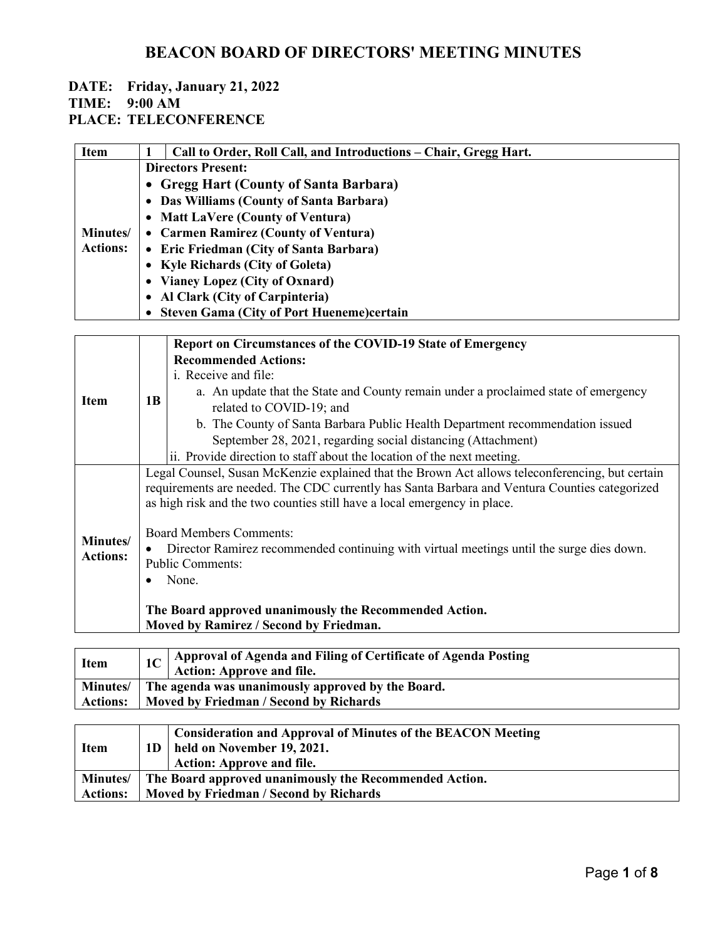# **DATE: Friday, January 21, 2022**

### **TIME: 9:00 AM**

**PLACE: TELECONFERENCE**

| <b>Item</b>     | 1                                                                                               | Call to Order, Roll Call, and Introductions - Chair, Gregg Hart.                    |  |  |
|-----------------|-------------------------------------------------------------------------------------------------|-------------------------------------------------------------------------------------|--|--|
|                 |                                                                                                 | <b>Directors Present:</b>                                                           |  |  |
|                 | <b>Gregg Hart (County of Santa Barbara)</b><br>$\bullet$                                        |                                                                                     |  |  |
|                 | Das Williams (County of Santa Barbara)<br>$\bullet$                                             |                                                                                     |  |  |
|                 | <b>Matt LaVere (County of Ventura)</b>                                                          |                                                                                     |  |  |
| Minutes/        |                                                                                                 | <b>Carmen Ramirez (County of Ventura)</b>                                           |  |  |
| <b>Actions:</b> | • Eric Friedman (City of Santa Barbara)                                                         |                                                                                     |  |  |
|                 | • Kyle Richards (City of Goleta)                                                                |                                                                                     |  |  |
|                 |                                                                                                 | • Vianey Lopez (City of Oxnard)                                                     |  |  |
|                 |                                                                                                 | • Al Clark (City of Carpinteria)                                                    |  |  |
|                 | <b>Steven Gama (City of Port Hueneme)certain</b>                                                |                                                                                     |  |  |
|                 |                                                                                                 |                                                                                     |  |  |
|                 |                                                                                                 | Report on Circumstances of the COVID-19 State of Emergency                          |  |  |
|                 |                                                                                                 | <b>Recommended Actions:</b>                                                         |  |  |
|                 | 1B                                                                                              | i. Receive and file:                                                                |  |  |
|                 |                                                                                                 | a. An update that the State and County remain under a proclaimed state of emergency |  |  |
| <b>Item</b>     |                                                                                                 | related to COVID-19; and                                                            |  |  |
|                 |                                                                                                 | b. The County of Santa Barbara Public Health Department recommendation issued       |  |  |
|                 |                                                                                                 | September 28, 2021, regarding social distancing (Attachment)                        |  |  |
|                 |                                                                                                 | ii. Provide direction to staff about the location of the next meeting.              |  |  |
|                 | Legal Counsel, Susan McKenzie explained that the Brown Act allows teleconferencing, but certain |                                                                                     |  |  |
|                 | requirements are needed. The CDC currently has Santa Barbara and Ventura Counties categorized   |                                                                                     |  |  |
|                 | as high risk and the two counties still have a local emergency in place.                        |                                                                                     |  |  |
|                 |                                                                                                 |                                                                                     |  |  |
| Minutes/        | <b>Board Members Comments:</b>                                                                  |                                                                                     |  |  |
|                 | Diverter Deminer recommended continuing with virtual meetings until the surge dies deven        |                                                                                     |  |  |

| Actions: | <b>NINIFERICAL CONSESSION</b> Director Ramirez recommended continuing with virtual meetings until the surge dies down.<br><b>Public Comments:</b> |
|----------|---------------------------------------------------------------------------------------------------------------------------------------------------|
|          | $\bullet$ None.                                                                                                                                   |

#### **The Board approved unanimously the Recommended Action. Moved by Ramirez / Second by Friedman.**

| <b>Item</b>     | 1C   Approval of Agenda and Filing of Certificate of Agenda Posting<br><b>Action: Approve and file.</b> |  |
|-----------------|---------------------------------------------------------------------------------------------------------|--|
|                 | Minutes/ The agenda was unanimously approved by the Board.                                              |  |
| <b>Actions:</b> | Moved by Friedman / Second by Richards                                                                  |  |

| <b>Item</b>     |                                        | Consideration and Approval of Minutes of the BEACON Meeting<br>$1D$   held on November 19, 2021.<br><b>Action: Approve and file.</b> |
|-----------------|----------------------------------------|--------------------------------------------------------------------------------------------------------------------------------------|
|                 |                                        | Minutes/ The Board approved unanimously the Recommended Action.                                                                      |
| <b>Actions:</b> | Moved by Friedman / Second by Richards |                                                                                                                                      |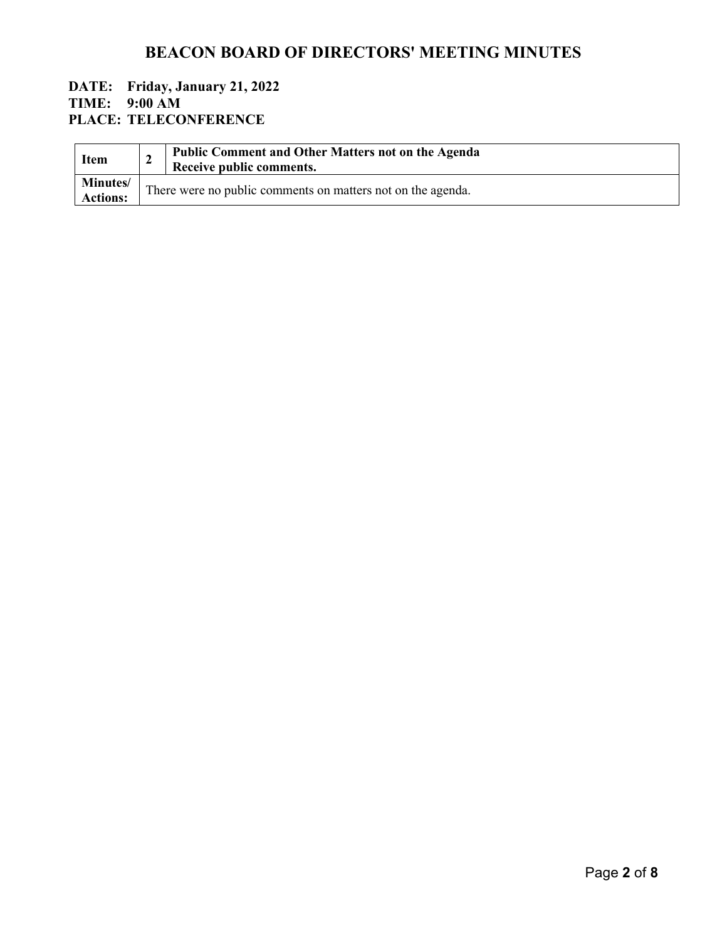#### **DATE: Friday, January 21, 2022 TIME: 9:00 AM PLACE: TELECONFERENCE**

| <b>Item</b>                        | <b>Public Comment and Other Matters not on the Agenda</b><br>Receive public comments. |
|------------------------------------|---------------------------------------------------------------------------------------|
| <b>Minutes/</b><br><b>Actions:</b> | There were no public comments on matters not on the agenda.                           |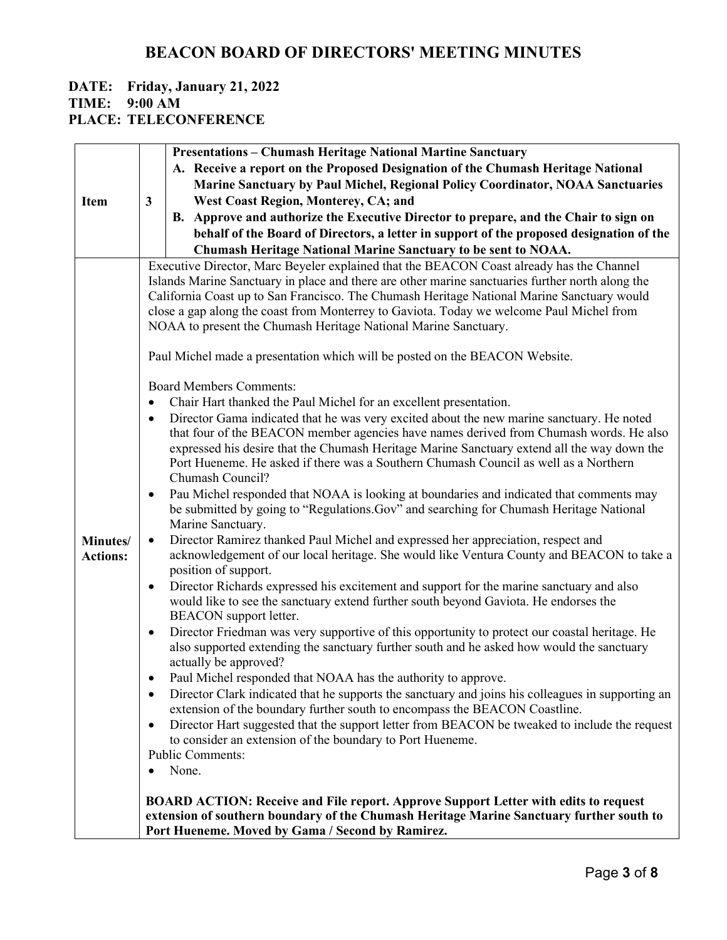### **DATE: Friday, January 21, 2022 TIME: 9:00 AM**

**PLACE: TELECONFERENCE**

|                 |           | <b>Presentations - Chumash Heritage National Martine Sanctuary</b>                                                                                                                         |
|-----------------|-----------|--------------------------------------------------------------------------------------------------------------------------------------------------------------------------------------------|
|                 |           | A. Receive a report on the Proposed Designation of the Chumash Heritage National                                                                                                           |
|                 |           | Marine Sanctuary by Paul Michel, Regional Policy Coordinator, NOAA Sanctuaries                                                                                                             |
| <b>Item</b>     | 3         | <b>West Coast Region, Monterey, CA; and</b>                                                                                                                                                |
|                 |           | B. Approve and authorize the Executive Director to prepare, and the Chair to sign on                                                                                                       |
|                 |           | behalf of the Board of Directors, a letter in support of the proposed designation of the                                                                                                   |
|                 |           | Chumash Heritage National Marine Sanctuary to be sent to NOAA.                                                                                                                             |
|                 |           | Executive Director, Marc Beyeler explained that the BEACON Coast already has the Channel                                                                                                   |
|                 |           | Islands Marine Sanctuary in place and there are other marine sanctuaries further north along the                                                                                           |
|                 |           | California Coast up to San Francisco. The Chumash Heritage National Marine Sanctuary would                                                                                                 |
|                 |           | close a gap along the coast from Monterrey to Gaviota. Today we welcome Paul Michel from                                                                                                   |
|                 |           | NOAA to present the Chumash Heritage National Marine Sanctuary.                                                                                                                            |
|                 |           | Paul Michel made a presentation which will be posted on the BEACON Website.                                                                                                                |
|                 |           | <b>Board Members Comments:</b>                                                                                                                                                             |
|                 | $\bullet$ | Chair Hart thanked the Paul Michel for an excellent presentation.                                                                                                                          |
|                 | $\bullet$ | Director Gama indicated that he was very excited about the new marine sanctuary. He noted                                                                                                  |
|                 |           | that four of the BEACON member agencies have names derived from Chumash words. He also                                                                                                     |
|                 |           | expressed his desire that the Chumash Heritage Marine Sanctuary extend all the way down the<br>Port Hueneme. He asked if there was a Southern Chumash Council as well as a Northern        |
|                 |           | Chumash Council?                                                                                                                                                                           |
|                 | $\bullet$ | Pau Michel responded that NOAA is looking at boundaries and indicated that comments may                                                                                                    |
|                 |           | be submitted by going to "Regulations.Gov" and searching for Chumash Heritage National                                                                                                     |
|                 |           | Marine Sanctuary.                                                                                                                                                                          |
| Minutes/        | $\bullet$ | Director Ramirez thanked Paul Michel and expressed her appreciation, respect and                                                                                                           |
| <b>Actions:</b> |           | acknowledgement of our local heritage. She would like Ventura County and BEACON to take a<br>position of support.                                                                          |
|                 | $\bullet$ | Director Richards expressed his excitement and support for the marine sanctuary and also                                                                                                   |
|                 |           | would like to see the sanctuary extend further south beyond Gaviota. He endorses the                                                                                                       |
|                 |           | <b>BEACON</b> support letter.                                                                                                                                                              |
|                 | $\bullet$ | Director Friedman was very supportive of this opportunity to protect our coastal heritage. He<br>also supported extending the sanctuary further south and he asked how would the sanctuary |
|                 |           | actually be approved?                                                                                                                                                                      |
|                 | ٠         | Paul Michel responded that NOAA has the authority to approve.                                                                                                                              |
|                 | $\bullet$ | Director Clark indicated that he supports the sanctuary and joins his colleagues in supporting an                                                                                          |
|                 |           | extension of the boundary further south to encompass the BEACON Coastline.                                                                                                                 |
|                 | ٠         | Director Hart suggested that the support letter from BEACON be tweaked to include the request                                                                                              |
|                 |           | to consider an extension of the boundary to Port Hueneme.<br><b>Public Comments:</b>                                                                                                       |
|                 | ٠         | None.                                                                                                                                                                                      |
|                 |           |                                                                                                                                                                                            |
|                 |           | <b>BOARD ACTION: Receive and File report. Approve Support Letter with edits to request</b>                                                                                                 |
|                 |           | extension of southern boundary of the Chumash Heritage Marine Sanctuary further south to                                                                                                   |
|                 |           | Port Hueneme. Moved by Gama / Second by Ramirez.                                                                                                                                           |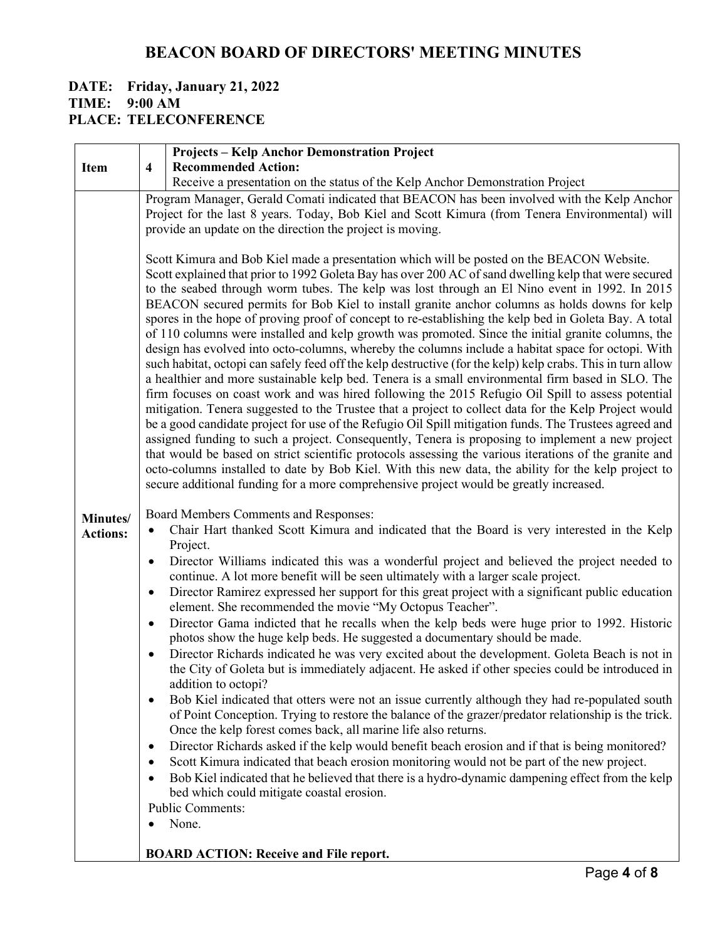#### **DATE: Friday, January 21, 2022 TIME: 9:00 AM PLACE: TELECONFERENCE**

|                 |                         | <b>Projects - Kelp Anchor Demonstration Project</b>                                                                                                                                                                                                                                                                                                                                                                                                                                                                                                                                                                                                                                                                                                                                                                                                                                                                                                                                                                                                                                                                                                                                                                                                                                                                                                                                                                                                                                                                                                                                                                                                                                                                           |
|-----------------|-------------------------|-------------------------------------------------------------------------------------------------------------------------------------------------------------------------------------------------------------------------------------------------------------------------------------------------------------------------------------------------------------------------------------------------------------------------------------------------------------------------------------------------------------------------------------------------------------------------------------------------------------------------------------------------------------------------------------------------------------------------------------------------------------------------------------------------------------------------------------------------------------------------------------------------------------------------------------------------------------------------------------------------------------------------------------------------------------------------------------------------------------------------------------------------------------------------------------------------------------------------------------------------------------------------------------------------------------------------------------------------------------------------------------------------------------------------------------------------------------------------------------------------------------------------------------------------------------------------------------------------------------------------------------------------------------------------------------------------------------------------------|
| <b>Item</b>     | $\overline{\mathbf{4}}$ | <b>Recommended Action:</b>                                                                                                                                                                                                                                                                                                                                                                                                                                                                                                                                                                                                                                                                                                                                                                                                                                                                                                                                                                                                                                                                                                                                                                                                                                                                                                                                                                                                                                                                                                                                                                                                                                                                                                    |
|                 |                         | Receive a presentation on the status of the Kelp Anchor Demonstration Project<br>Program Manager, Gerald Comati indicated that BEACON has been involved with the Kelp Anchor                                                                                                                                                                                                                                                                                                                                                                                                                                                                                                                                                                                                                                                                                                                                                                                                                                                                                                                                                                                                                                                                                                                                                                                                                                                                                                                                                                                                                                                                                                                                                  |
|                 |                         | Project for the last 8 years. Today, Bob Kiel and Scott Kimura (from Tenera Environmental) will                                                                                                                                                                                                                                                                                                                                                                                                                                                                                                                                                                                                                                                                                                                                                                                                                                                                                                                                                                                                                                                                                                                                                                                                                                                                                                                                                                                                                                                                                                                                                                                                                               |
|                 |                         | provide an update on the direction the project is moving.                                                                                                                                                                                                                                                                                                                                                                                                                                                                                                                                                                                                                                                                                                                                                                                                                                                                                                                                                                                                                                                                                                                                                                                                                                                                                                                                                                                                                                                                                                                                                                                                                                                                     |
|                 |                         |                                                                                                                                                                                                                                                                                                                                                                                                                                                                                                                                                                                                                                                                                                                                                                                                                                                                                                                                                                                                                                                                                                                                                                                                                                                                                                                                                                                                                                                                                                                                                                                                                                                                                                                               |
| Minutes/        |                         | Scott Kimura and Bob Kiel made a presentation which will be posted on the BEACON Website.<br>Scott explained that prior to 1992 Goleta Bay has over 200 AC of sand dwelling kelp that were secured<br>to the seabed through worm tubes. The kelp was lost through an El Nino event in 1992. In 2015<br>BEACON secured permits for Bob Kiel to install granite anchor columns as holds downs for kelp<br>spores in the hope of proving proof of concept to re-establishing the kelp bed in Goleta Bay. A total<br>of 110 columns were installed and kelp growth was promoted. Since the initial granite columns, the<br>design has evolved into octo-columns, whereby the columns include a habitat space for octopi. With<br>such habitat, octopi can safely feed off the kelp destructive (for the kelp) kelp crabs. This in turn allow<br>a healthier and more sustainable kelp bed. Tenera is a small environmental firm based in SLO. The<br>firm focuses on coast work and was hired following the 2015 Refugio Oil Spill to assess potential<br>mitigation. Tenera suggested to the Trustee that a project to collect data for the Kelp Project would<br>be a good candidate project for use of the Refugio Oil Spill mitigation funds. The Trustees agreed and<br>assigned funding to such a project. Consequently, Tenera is proposing to implement a new project<br>that would be based on strict scientific protocols assessing the various iterations of the granite and<br>octo-columns installed to date by Bob Kiel. With this new data, the ability for the kelp project to<br>secure additional funding for a more comprehensive project would be greatly increased.<br>Board Members Comments and Responses: |
| <b>Actions:</b> | $\bullet$               | Chair Hart thanked Scott Kimura and indicated that the Board is very interested in the Kelp                                                                                                                                                                                                                                                                                                                                                                                                                                                                                                                                                                                                                                                                                                                                                                                                                                                                                                                                                                                                                                                                                                                                                                                                                                                                                                                                                                                                                                                                                                                                                                                                                                   |
|                 | $\bullet$               | Project.<br>Director Williams indicated this was a wonderful project and believed the project needed to                                                                                                                                                                                                                                                                                                                                                                                                                                                                                                                                                                                                                                                                                                                                                                                                                                                                                                                                                                                                                                                                                                                                                                                                                                                                                                                                                                                                                                                                                                                                                                                                                       |
|                 |                         | continue. A lot more benefit will be seen ultimately with a larger scale project.                                                                                                                                                                                                                                                                                                                                                                                                                                                                                                                                                                                                                                                                                                                                                                                                                                                                                                                                                                                                                                                                                                                                                                                                                                                                                                                                                                                                                                                                                                                                                                                                                                             |
|                 | $\bullet$               | Director Ramirez expressed her support for this great project with a significant public education<br>element. She recommended the movie "My Octopus Teacher".                                                                                                                                                                                                                                                                                                                                                                                                                                                                                                                                                                                                                                                                                                                                                                                                                                                                                                                                                                                                                                                                                                                                                                                                                                                                                                                                                                                                                                                                                                                                                                 |
|                 | $\bullet$               | Director Gama indicted that he recalls when the kelp beds were huge prior to 1992. Historic<br>photos show the huge kelp beds. He suggested a documentary should be made.                                                                                                                                                                                                                                                                                                                                                                                                                                                                                                                                                                                                                                                                                                                                                                                                                                                                                                                                                                                                                                                                                                                                                                                                                                                                                                                                                                                                                                                                                                                                                     |
|                 | $\bullet$               | Director Richards indicated he was very excited about the development. Goleta Beach is not in<br>the City of Goleta but is immediately adjacent. He asked if other species could be introduced in<br>addition to octopi?                                                                                                                                                                                                                                                                                                                                                                                                                                                                                                                                                                                                                                                                                                                                                                                                                                                                                                                                                                                                                                                                                                                                                                                                                                                                                                                                                                                                                                                                                                      |
|                 | $\bullet$               | Bob Kiel indicated that otters were not an issue currently although they had re-populated south<br>of Point Conception. Trying to restore the balance of the grazer/predator relationship is the trick.<br>Once the kelp forest comes back, all marine life also returns.                                                                                                                                                                                                                                                                                                                                                                                                                                                                                                                                                                                                                                                                                                                                                                                                                                                                                                                                                                                                                                                                                                                                                                                                                                                                                                                                                                                                                                                     |
|                 | $\bullet$               | Director Richards asked if the kelp would benefit beach erosion and if that is being monitored?                                                                                                                                                                                                                                                                                                                                                                                                                                                                                                                                                                                                                                                                                                                                                                                                                                                                                                                                                                                                                                                                                                                                                                                                                                                                                                                                                                                                                                                                                                                                                                                                                               |
|                 | $\bullet$<br>٠          | Scott Kimura indicated that beach erosion monitoring would not be part of the new project.<br>Bob Kiel indicated that he believed that there is a hydro-dynamic dampening effect from the kelp                                                                                                                                                                                                                                                                                                                                                                                                                                                                                                                                                                                                                                                                                                                                                                                                                                                                                                                                                                                                                                                                                                                                                                                                                                                                                                                                                                                                                                                                                                                                |
|                 |                         | bed which could mitigate coastal erosion.<br><b>Public Comments:</b>                                                                                                                                                                                                                                                                                                                                                                                                                                                                                                                                                                                                                                                                                                                                                                                                                                                                                                                                                                                                                                                                                                                                                                                                                                                                                                                                                                                                                                                                                                                                                                                                                                                          |
|                 |                         | None.                                                                                                                                                                                                                                                                                                                                                                                                                                                                                                                                                                                                                                                                                                                                                                                                                                                                                                                                                                                                                                                                                                                                                                                                                                                                                                                                                                                                                                                                                                                                                                                                                                                                                                                         |
|                 |                         |                                                                                                                                                                                                                                                                                                                                                                                                                                                                                                                                                                                                                                                                                                                                                                                                                                                                                                                                                                                                                                                                                                                                                                                                                                                                                                                                                                                                                                                                                                                                                                                                                                                                                                                               |
|                 |                         | <b>BOARD ACTION: Receive and File report.</b>                                                                                                                                                                                                                                                                                                                                                                                                                                                                                                                                                                                                                                                                                                                                                                                                                                                                                                                                                                                                                                                                                                                                                                                                                                                                                                                                                                                                                                                                                                                                                                                                                                                                                 |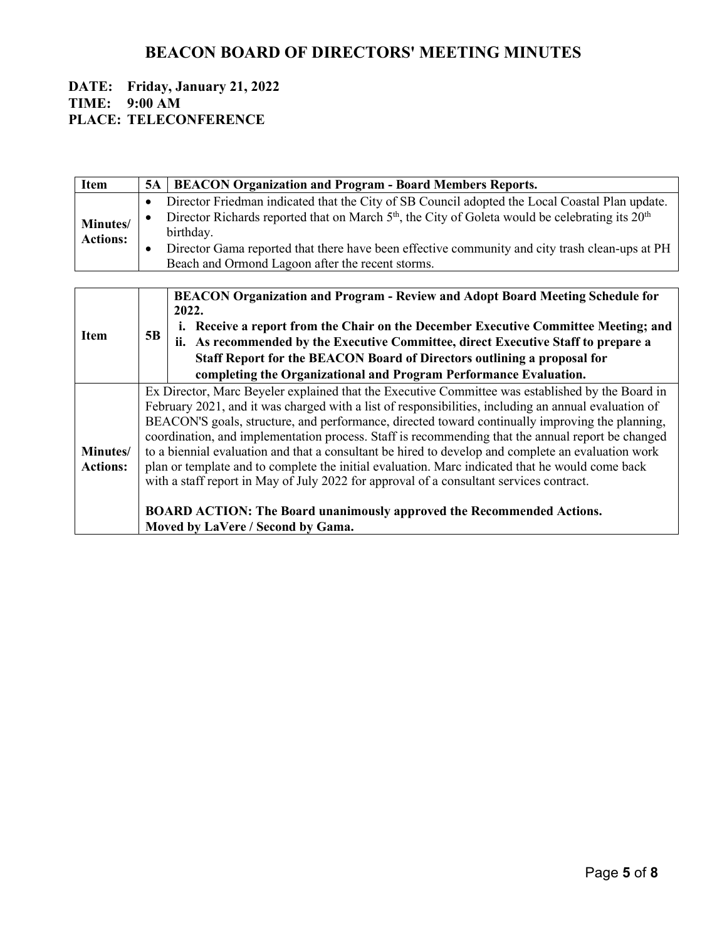#### **DATE: Friday, January 21, 2022 TIME: 9:00 AM PLACE: TELECONFERENCE**

| Item            | <b>5A</b>                                                                                          | <b>BEACON Organization and Program - Board Members Reports.</b>                                                         |  |
|-----------------|----------------------------------------------------------------------------------------------------|-------------------------------------------------------------------------------------------------------------------------|--|
|                 |                                                                                                    |                                                                                                                         |  |
|                 | $\bullet$                                                                                          | Director Friedman indicated that the City of SB Council adopted the Local Coastal Plan update.                          |  |
| Minutes/        | $\bullet$                                                                                          | Director Richards reported that on March 5 <sup>th</sup> , the City of Goleta would be celebrating its 20 <sup>th</sup> |  |
| <b>Actions:</b> |                                                                                                    | birthday.                                                                                                               |  |
|                 | ٠                                                                                                  | Director Gama reported that there have been effective community and city trash clean-ups at PH                          |  |
|                 |                                                                                                    | Beach and Ormond Lagoon after the recent storms.                                                                        |  |
|                 |                                                                                                    |                                                                                                                         |  |
|                 |                                                                                                    | <b>BEACON Organization and Program - Review and Adopt Board Meeting Schedule for</b>                                    |  |
|                 |                                                                                                    | 2022.                                                                                                                   |  |
|                 |                                                                                                    | i. Receive a report from the Chair on the December Executive Committee Meeting; and                                     |  |
| <b>Item</b>     | 5B                                                                                                 | ii. As recommended by the Executive Committee, direct Executive Staff to prepare a                                      |  |
|                 |                                                                                                    | Staff Report for the BEACON Board of Directors outlining a proposal for                                                 |  |
|                 |                                                                                                    | completing the Organizational and Program Performance Evaluation.                                                       |  |
|                 |                                                                                                    | Ex Director, Marc Beyeler explained that the Executive Committee was established by the Board in                        |  |
|                 |                                                                                                    | February 2021, and it was charged with a list of responsibilities, including an annual evaluation of                    |  |
|                 | BEACON'S goals, structure, and performance, directed toward continually improving the planning,    |                                                                                                                         |  |
|                 | coordination, and implementation process. Staff is recommending that the annual report be changed  |                                                                                                                         |  |
| Minutes/        | to a biennial evaluation and that a consultant be hired to develop and complete an evaluation work |                                                                                                                         |  |
| <b>Actions:</b> | plan or template and to complete the initial evaluation. Marc indicated that he would come back    |                                                                                                                         |  |
|                 | with a staff report in May of July 2022 for approval of a consultant services contract.            |                                                                                                                         |  |
|                 |                                                                                                    |                                                                                                                         |  |
|                 |                                                                                                    | <b>BOARD ACTION: The Board unanimously approved the Recommended Actions.</b>                                            |  |
|                 |                                                                                                    | Moved by LaVere / Second by Gama.                                                                                       |  |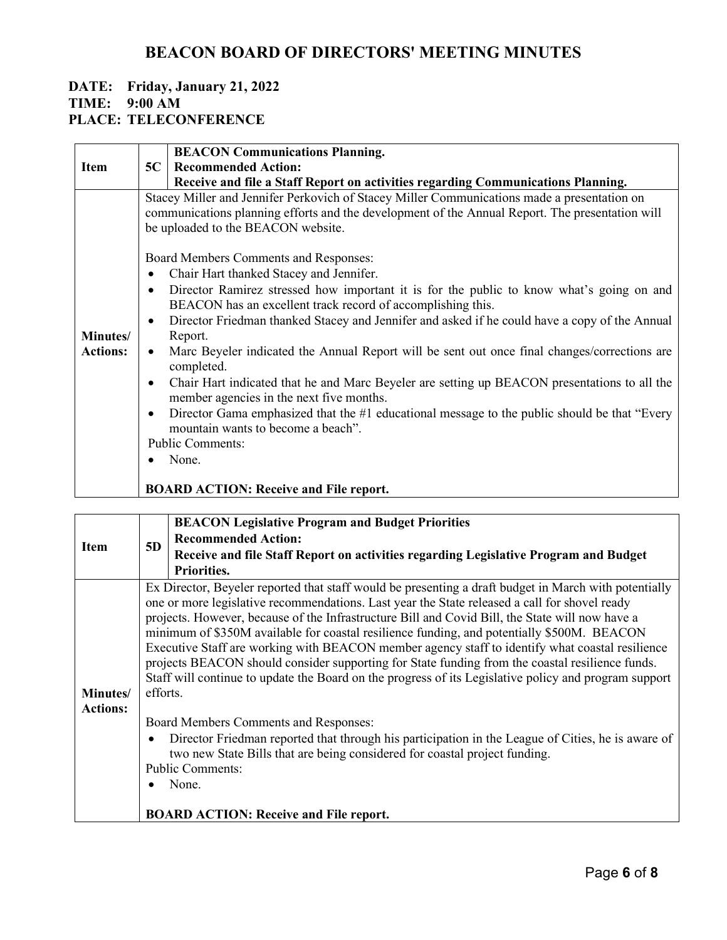# **DATE: Friday, January 21, 2022**

#### **TIME: 9:00 AM**

### **PLACE: TELECONFERENCE**

|                 |                                                                                                                                                                                                                                      | <b>BEACON Communications Planning.</b>                                                                                                                  |
|-----------------|--------------------------------------------------------------------------------------------------------------------------------------------------------------------------------------------------------------------------------------|---------------------------------------------------------------------------------------------------------------------------------------------------------|
| <b>Item</b>     | 5C                                                                                                                                                                                                                                   | <b>Recommended Action:</b>                                                                                                                              |
|                 |                                                                                                                                                                                                                                      | Receive and file a Staff Report on activities regarding Communications Planning.                                                                        |
|                 | Stacey Miller and Jennifer Perkovich of Stacey Miller Communications made a presentation on<br>communications planning efforts and the development of the Annual Report. The presentation will<br>be uploaded to the BEACON website. |                                                                                                                                                         |
|                 |                                                                                                                                                                                                                                      | Board Members Comments and Responses:                                                                                                                   |
|                 | $\bullet$                                                                                                                                                                                                                            | Chair Hart thanked Stacey and Jennifer.                                                                                                                 |
|                 | $\bullet$                                                                                                                                                                                                                            | Director Ramirez stressed how important it is for the public to know what's going on and<br>BEACON has an excellent track record of accomplishing this. |
| Minutes/        | $\bullet$                                                                                                                                                                                                                            | Director Friedman thanked Stacey and Jennifer and asked if he could have a copy of the Annual<br>Report.                                                |
| <b>Actions:</b> |                                                                                                                                                                                                                                      | Marc Beyeler indicated the Annual Report will be sent out once final changes/corrections are<br>completed.                                              |
|                 | $\bullet$                                                                                                                                                                                                                            | Chair Hart indicated that he and Marc Beyeler are setting up BEACON presentations to all the<br>member agencies in the next five months.                |
|                 | $\bullet$                                                                                                                                                                                                                            | Director Gama emphasized that the #1 educational message to the public should be that "Every"<br>mountain wants to become a beach".                     |
|                 |                                                                                                                                                                                                                                      | <b>Public Comments:</b>                                                                                                                                 |
|                 |                                                                                                                                                                                                                                      | None.                                                                                                                                                   |
|                 |                                                                                                                                                                                                                                      | <b>BOARD ACTION: Receive and File report.</b>                                                                                                           |

|                             | 5D                                            | <b>BEACON Legislative Program and Budget Priorities</b>                                                                                                                                                                                                                                                                                                                                                                                                                                                                                                                                                                                                                                                                                                                                                                                                                                                                                                                                |
|-----------------------------|-----------------------------------------------|----------------------------------------------------------------------------------------------------------------------------------------------------------------------------------------------------------------------------------------------------------------------------------------------------------------------------------------------------------------------------------------------------------------------------------------------------------------------------------------------------------------------------------------------------------------------------------------------------------------------------------------------------------------------------------------------------------------------------------------------------------------------------------------------------------------------------------------------------------------------------------------------------------------------------------------------------------------------------------------|
| <b>Item</b>                 |                                               | <b>Recommended Action:</b>                                                                                                                                                                                                                                                                                                                                                                                                                                                                                                                                                                                                                                                                                                                                                                                                                                                                                                                                                             |
|                             |                                               | Receive and file Staff Report on activities regarding Legislative Program and Budget                                                                                                                                                                                                                                                                                                                                                                                                                                                                                                                                                                                                                                                                                                                                                                                                                                                                                                   |
|                             |                                               | Priorities.                                                                                                                                                                                                                                                                                                                                                                                                                                                                                                                                                                                                                                                                                                                                                                                                                                                                                                                                                                            |
| Minutes/<br><b>Actions:</b> | efforts.<br>$\bullet$                         | Ex Director, Beyeler reported that staff would be presenting a draft budget in March with potentially<br>one or more legislative recommendations. Last year the State released a call for shovel ready<br>projects. However, because of the Infrastructure Bill and Covid Bill, the State will now have a<br>minimum of \$350M available for coastal resilience funding, and potentially \$500M. BEACON<br>Executive Staff are working with BEACON member agency staff to identify what coastal resilience<br>projects BEACON should consider supporting for State funding from the coastal resilience funds.<br>Staff will continue to update the Board on the progress of its Legislative policy and program support<br>Board Members Comments and Responses:<br>Director Friedman reported that through his participation in the League of Cities, he is aware of<br>two new State Bills that are being considered for coastal project funding.<br><b>Public Comments:</b><br>None. |
|                             | <b>BOARD ACTION: Receive and File report.</b> |                                                                                                                                                                                                                                                                                                                                                                                                                                                                                                                                                                                                                                                                                                                                                                                                                                                                                                                                                                                        |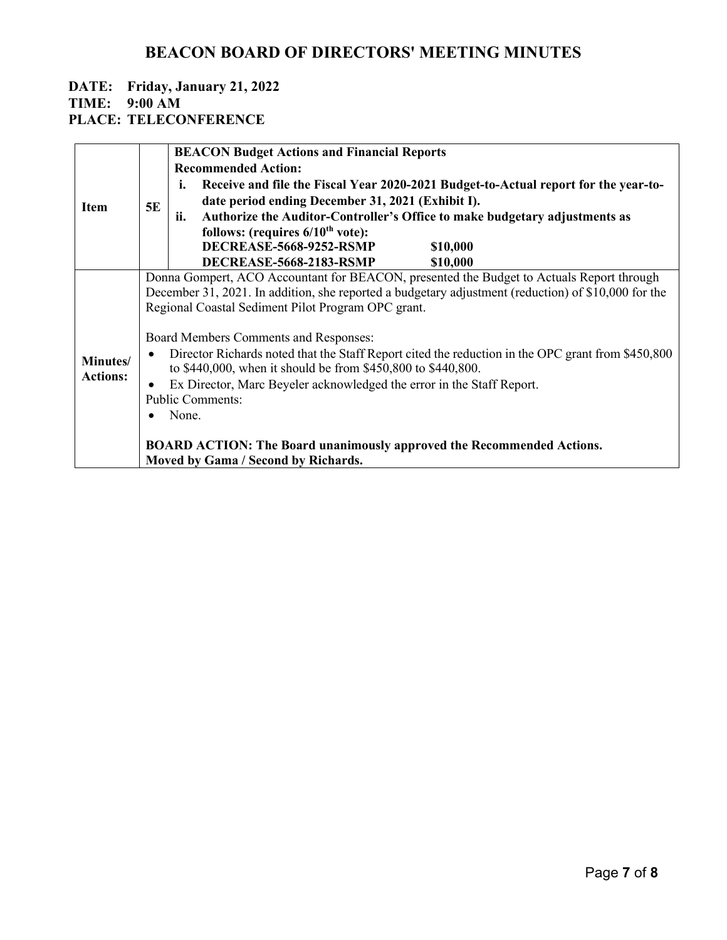# **DATE: Friday, January 21, 2022 TIME: 9:00 AM**

**PLACE: TELECONFERENCE**

|                 |                                                                       | <b>BEACON Budget Actions and Financial Reports</b>                                                  |  |  |  |
|-----------------|-----------------------------------------------------------------------|-----------------------------------------------------------------------------------------------------|--|--|--|
| <b>Item</b>     |                                                                       | <b>Recommended Action:</b>                                                                          |  |  |  |
|                 |                                                                       | Receive and file the Fiscal Year 2020-2021 Budget-to-Actual report for the year-to-<br>i.           |  |  |  |
|                 | 5E                                                                    | date period ending December 31, 2021 (Exhibit I).                                                   |  |  |  |
|                 |                                                                       | Authorize the Auditor-Controller's Office to make budgetary adjustments as<br>ii.                   |  |  |  |
|                 |                                                                       | follows: (requires $6/10^{th}$ vote):                                                               |  |  |  |
|                 |                                                                       | <b>DECREASE-5668-9252-RSMP</b><br>\$10,000                                                          |  |  |  |
|                 |                                                                       | <b>DECREASE-5668-2183-RSMP</b><br>\$10,000                                                          |  |  |  |
|                 |                                                                       | Donna Gompert, ACO Accountant for BEACON, presented the Budget to Actuals Report through            |  |  |  |
|                 |                                                                       | December 31, 2021. In addition, she reported a budgetary adjustment (reduction) of \$10,000 for the |  |  |  |
|                 |                                                                       | Regional Coastal Sediment Pilot Program OPC grant.                                                  |  |  |  |
|                 |                                                                       |                                                                                                     |  |  |  |
|                 |                                                                       | Board Members Comments and Responses:                                                               |  |  |  |
| Minutes/        | $\bullet$                                                             | Director Richards noted that the Staff Report cited the reduction in the OPC grant from \$450,800   |  |  |  |
| <b>Actions:</b> |                                                                       | to \$440,000, when it should be from \$450,800 to \$440,800.                                        |  |  |  |
|                 | Ex Director, Marc Beyeler acknowledged the error in the Staff Report. |                                                                                                     |  |  |  |
|                 | <b>Public Comments:</b>                                               |                                                                                                     |  |  |  |
|                 |                                                                       | None.                                                                                               |  |  |  |
|                 |                                                                       |                                                                                                     |  |  |  |
|                 |                                                                       | <b>BOARD ACTION: The Board unanimously approved the Recommended Actions.</b>                        |  |  |  |
|                 |                                                                       | Moved by Gama / Second by Richards.                                                                 |  |  |  |